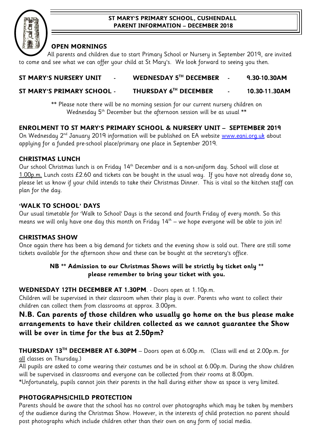#### **ST MARY'S PRIMARY SCHOOL, CUSHENDALL PARENT INFORMATION – DECEMBER 2018**



# **OPEN MORNINGS**

All parents and children due to start Primary School or Nursery in September 2019, are invited to come and see what we can offer your child at St Mary's. We look forward to seeing you then.

# **ST MARY'S NURSERY UNIT - WEDNESDAY 5TH DECEMBER - 9.30-10.30AM**

# **ST MARY'S PRIMARY SCHOOL - THURSDAY 6TH DECEMBER - 10.30-11.30AM**

\*\* Please note there will be no morning session for our current nursery children on Wednesday  $5<sup>th</sup>$  December but the afternoon session will be as usual  $**$ 

# **ENROLMENT TO ST MARY'S PRIMARY SCHOOL & NURSERY UNIT – SEPTEMBER 2019**

On Wednesday 2<sup>nd</sup> January 2019 information will be published on EA website [www.eani.org.uk](http://www.eani.org.uk/) about applying for a funded pre-school place/primary one place in September 2019.

# **CHRISTMAS LUNCH**

Our school Christmas lunch is on Friday 14<sup>th</sup> December and is a non-uniform day. School will close at  $1.00$ p.m. Lunch costs £2.60 and tickets can be bought in the usual way. If you have not already done so, please let us know if your child intends to take their Christmas Dinner. This is vital so the kitchen staff can plan for the day.

# **'WALK TO SCHOOL' DAYS**

Our usual timetable for 'Walk to School' Days is the second and fourth Friday of every month. So this means we will only have one day this month on Friday 14<sup>th</sup> – we hope everyone will be able to join in!

#### **CHRISTMAS SHOW**

Once again there has been a big demand for tickets and the evening show is sold out. There are still some tickets available for the afternoon show and these can be bought at the secretary's office.

# **NB \*\* Admission to our Christmas Shows will be strictly by ticket only \*\* please remember to bring your ticket with you.**

#### **WEDNESDAY 12TH DECEMBER AT 1.30PM**. - Doors open at 1.10p.m.

Children will be supervised in their classroom when their play is over. Parents who want to collect their children can collect them from classrooms at approx. 3.00pm.

# **N.B. Can parents of those children who usually go home on the bus please make arrangements to have their children collected as we cannot guarantee the Show will be over in time for the bus at 2.50pm?**

**THURSDAY 13TH DECEMBER AT 6.30PM** – Doors open at 6.00p.m. (Class will end at 2.00p.m. for all classes on Thursday.)

All pupils are asked to come wearing their costumes and be in school at 6.00p.m. During the show children will be supervised in classrooms and everyone can be collected from their rooms at 8.00pm.

\*Unfortunately, pupils cannot join their parents in the hall during either show as space is very limited.

# **PHOTOGRAPHS/CHILD PROTECTION**

Parents should be aware that the school has no control over photographs which may be taken by members of the audience during the Christmas Show. However, in the interests of child protection no parent should post photographs which include children other than their own on any form of social media.